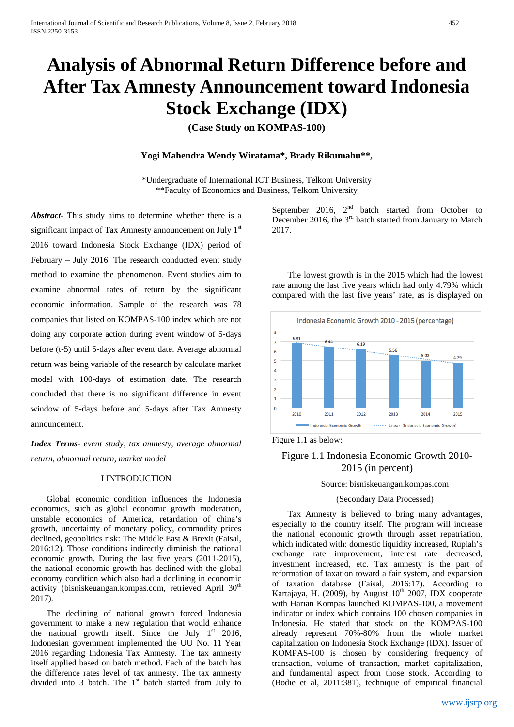# **Analysis of Abnormal Return Difference before and After Tax Amnesty Announcement toward Indonesia Stock Exchange (IDX)**

**(Case Study on KOMPAS-100)**

# **Yogi Mahendra Wendy Wiratama\*, Brady Rikumahu\*\*,**

\*Undergraduate of International ICT Business, Telkom University \*\*Faculty of Economics and Business, Telkom University

*Abstract-* This study aims to determine whether there is a significant impact of Tax Amnesty announcement on July 1<sup>st</sup> 2016 toward Indonesia Stock Exchange (IDX) period of February – July 2016. The research conducted event study method to examine the phenomenon. Event studies aim to examine abnormal rates of return by the significant economic information. Sample of the research was 78 companies that listed on KOMPAS-100 index which are not doing any corporate action during event window of 5-days before (t-5) until 5-days after event date. Average abnormal return was being variable of the research by calculate market model with 100-days of estimation date. The research concluded that there is no significant difference in event window of 5-days before and 5-days after Tax Amnesty announcement.

*Index Terms*- *event study, tax amnesty, average abnormal return, abnormal return, market model*

# I INTRODUCTION

Global economic condition influences the Indonesia economics, such as global economic growth moderation, unstable economics of America, retardation of china's growth, uncertainty of monetary policy, commodity prices declined, geopolitics risk: The Middle East & Brexit (Faisal, 2016:12). Those conditions indirectly diminish the national economic growth. During the last five years (2011-2015), the national economic growth has declined with the global economy condition which also had a declining in economic activity (bisniskeuangan.kompas.com, retrieved April  $30<sup>th</sup>$ 2017).

The declining of national growth forced Indonesia government to make a new regulation that would enhance the national growth itself. Since the July  $1<sup>st</sup>$  2016, Indonesian government implemented the UU No. 11 Year 2016 regarding Indonesia Tax Amnesty. The tax amnesty itself applied based on batch method. Each of the batch has the difference rates level of tax amnesty. The tax amnesty divided into 3 batch. The  $1<sup>st</sup>$  batch started from July to

September 2016,  $2<sup>nd</sup>$  batch started from October to December 2016, the  $3<sup>rd</sup>$  batch started from January to March 2017.

The lowest growth is in the 2015 which had the lowest rate among the last five years which had only 4.79% which compared with the last five years' rate, as is displayed on



Figure 1.1 as below:

# Figure 1.1 Indonesia Economic Growth 2010- 2015 (in percent)

#### Source: bisniskeuangan.kompas.com

#### (Secondary Data Processed)

Tax Amnesty is believed to bring many advantages, especially to the country itself. The program will increase the national economic growth through asset repatriation, which indicated with: domestic liquidity increased, Rupiah's exchange rate improvement, interest rate decreased, investment increased, etc. Tax amnesty is the part of reformation of taxation toward a fair system, and expansion of taxation database (Faisal, 2016:17). According to Kartajaya, H. (2009), by August  $10^{th}$  2007, IDX cooperate with Harian Kompas launched KOMPAS-100, a movement indicator or index which contains 100 chosen companies in Indonesia. He stated that stock on the KOMPAS-100 already represent 70%-80% from the whole market capitalization on Indonesia Stock Exchange (IDX). Issuer of KOMPAS-100 is chosen by considering frequency of transaction, volume of transaction, market capitalization, and fundamental aspect from those stock. According to (Bodie et al, 2011:381), technique of empirical financial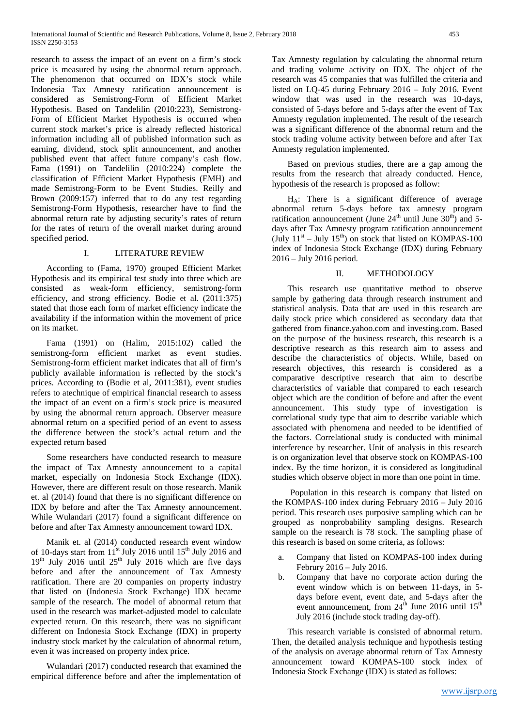research to assess the impact of an event on a firm's stock price is measured by using the abnormal return approach. The phenomenon that occurred on IDX's stock while Indonesia Tax Amnesty ratification announcement is considered as Semistrong-Form of Efficient Market Hypothesis. Based on Tandelilin (2010:223), Semistrong-Form of Efficient Market Hypothesis is occurred when current stock market's price is already reflected historical information including all of published information such as earning, dividend, stock split announcement, and another published event that affect future company's cash flow. Fama (1991) on Tandelilin (2010:224) complete the classification of Efficient Market Hypothesis (EMH) and made Semistrong-Form to be Event Studies. Reilly and Brown (2009:157) inferred that to do any test regarding Semistrong-Form Hypothesis, researcher have to find the abnormal return rate by adjusting security's rates of return for the rates of return of the overall market during around specified period.

# I. LITERATURE REVIEW

According to (Fama, 1970) grouped Efficient Market Hypothesis and its empirical test study into three which are consisted as weak-form efficiency, semistrong-form efficiency, and strong efficiency. Bodie et al. (2011:375) stated that those each form of market efficiency indicate the availability if the information within the movement of price on its market.

Fama (1991) on (Halim, 2015:102) called the semistrong-form efficient market as event studies. Semistrong-form efficient market indicates that all of firm's publicly available information is reflected by the stock's prices. According to (Bodie et al, 2011:381), event studies refers to atechnique of empirical financial research to assess the impact of an event on a firm's stock price is measured by using the abnormal return approach. Observer measure abnormal return on a specified period of an event to assess the difference between the stock's actual return and the expected return based

Some researchers have conducted research to measure the impact of Tax Amnesty announcement to a capital market, especially on Indonesia Stock Exchange (IDX). However, there are different result on those research. Manik et. al (2014) found that there is no significant difference on IDX by before and after the Tax Amnesty announcement. While Wulandari (2017) found a significant difference on before and after Tax Amnesty announcement toward IDX.

Manik et. al (2014) conducted research event window of 10-days start from 11<sup>st</sup> July 2016 until 15<sup>th</sup> July 2016 and  $19<sup>th</sup>$  July 2016 until  $25<sup>th</sup>$  July 2016 which are five days before and after the announcement of Tax Amnesty ratification. There are 20 companies on property industry that listed on (Indonesia Stock Exchange) IDX became sample of the research. The model of abnormal return that used in the research was market-adjusted model to calculate expected return. On this research, there was no significant different on Indonesia Stock Exchange (IDX) in property industry stock market by the calculation of abnormal return, even it was increased on property index price.

Wulandari (2017) conducted research that examined the empirical difference before and after the implementation of Tax Amnesty regulation by calculating the abnormal return and trading volume activity on IDX. The object of the research was 45 companies that was fulfilled the criteria and listed on LQ-45 during February 2016 – July 2016. Event window that was used in the research was 10-days, consisted of 5-days before and 5-days after the event of Tax Amnesty regulation implemented. The result of the research was a significant difference of the abnormal return and the stock trading volume activity between before and after Tax Amnesty regulation implemented.

Based on previous studies, there are a gap among the results from the research that already conducted. Hence, hypothesis of the research is proposed as follow:

HA: There is a significant difference of average abnormal return 5-days before tax amnesty program ratification announcement (June  $24<sup>th</sup>$  until June  $30<sup>th</sup>$ ) and 5days after Tax Amnesty program ratification announcement (July  $11<sup>st</sup> - July 15<sup>th</sup>$ ) on stock that listed on KOMPAS-100 index of Indonesia Stock Exchange (IDX) during February 2016 – July 2016 period.

# II. METHODOLOGY

This research use quantitative method to observe sample by gathering data through research instrument and statistical analysis. Data that are used in this research are daily stock price which considered as secondary data that gathered from finance.yahoo.com and investing.com. Based on the purpose of the business research, this research is a descriptive research as this research aim to assess and describe the characteristics of objects. While, based on research objectives, this research is considered as a comparative descriptive research that aim to describe characteristics of variable that compared to each research object which are the condition of before and after the event announcement. This study type of investigation is correlational study type that aim to describe variable which associated with phenomena and needed to be identified of the factors. Correlational study is conducted with minimal interference by researcher. Unit of analysis in this research is on organization level that observe stock on KOMPAS-100 index. By the time horizon, it is considered as longitudinal studies which observe object in more than one point in time.

Population in this research is company that listed on the KOMPAS-100 index during February 2016 – July 2016 period. This research uses purposive sampling which can be grouped as nonprobability sampling designs. Research sample on the research is 78 stock. The sampling phase of this research is based on some criteria, as follows:

- a. Company that listed on KOMPAS-100 index during Februry 2016 – July 2016.
- b. Company that have no corporate action during the event window which is on between 11-days, in 5 days before event, event date, and 5-days after the event announcement, from  $24<sup>th</sup>$  June 2016 until 15<sup>th</sup> July 2016 (include stock trading day-off).

This research variable is consisted of abnormal return. Then, the detailed analysis technique and hypothesis testing of the analysis on average abnormal return of Tax Amnesty announcement toward KOMPAS-100 stock index of Indonesia Stock Exchange (IDX) is stated as follows: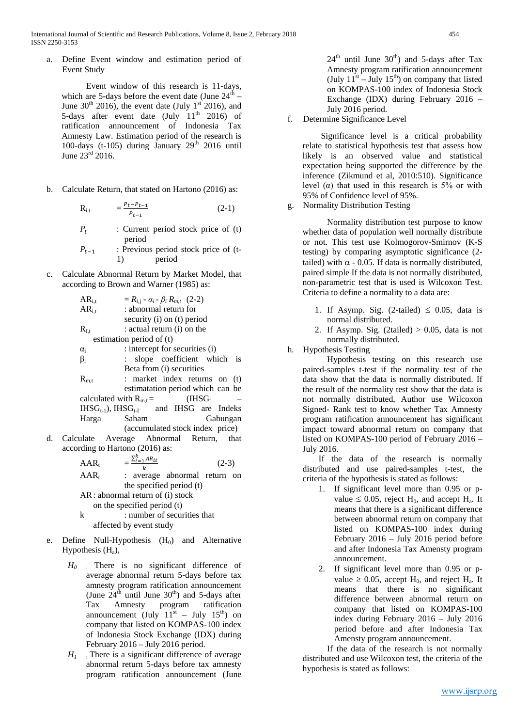International Journal of Scientific and Research Publications, Volume 8, Issue 2, February 2018 454 ISSN 2250-3153

a. Define Event window and estimation period of Event Study

Event window of this research is 11-days, which are 5-days before the event date (June  $24<sup>th</sup>$  – June  $30<sup>th</sup>$  2016), the event date (July 1<sup>st</sup> 2016), and 5-days after event date (July  $11<sup>th</sup>$  2016) of ratification announcement of Indonesia Tax Amnesty Law. Estimation period of the research is 100-days (t-105) during January  $29<sup>th</sup>$  2016 until June  $23^{\text{rd}}$  2016.

b. Calculate Return, that stated on Hartono (2016) as:

$$
R_{i,t} = \frac{P_t - P_{t-1}}{P_{t-1}}
$$
 (2-1)

- $P_t$  : Current period stock price of (t) period
- $P_{t-1}$  : Previous period stock price of (t-<br>1) period 1) period
- c. Calculate Abnormal Return by Market Model, that according to Brown and Warner (1985) as:

| $AR_{i,t}$ | $= R_{i,j} - \alpha_i - \beta_i R_{m,t}$ (2-2)    |
|------------|---------------------------------------------------|
| $AR_{i.t}$ | : abnormal return for                             |
|            | security (i) on (t) period                        |
| $R_{I,t}$  | : actual return (i) on the                        |
|            | estimation period of (t)                          |
| $\alpha_i$ | : intercept for securities (i)                    |
| $\beta_i$  | : slope coefficient which is                      |
|            | Beta from (i) securities                          |
| $R_{m,t}$  | : market index returns on (t)                     |
|            | estimatation period which can be                  |
|            | (IHSG.<br>calculated with $R_{m}$ =               |
|            | $IHSG_{t-1}$ , $IHSG_{t-1}$ and $IHSG$ are Indeks |
|            | Harga Saham<br>Gabungan                           |
|            | (accumulated stock index price)                   |
|            | culate Average Abnormal Return,<br>that           |
|            |                                                   |

d. Cale according to Hartono (2016) as:

$$
AAR_t = \frac{\sum_{i=1}^{k} AR_{it}}{k}
$$
 (2-3)  
\n
$$
AAR = \frac{P}{k}
$$
 (2-3)

- $AAR_t$  : average abnormal return on the specified period (t) AR: abnormal return of (i) stock
	- on the specified period (t)
- k : number of securities that affected by event study
- e. Define Null-Hypothesis  $(H_0)$  and Alternative Hypothesis  $(H_a)$ ,
	- *H0* : There is no significant difference of average abnormal return 5-days before tax amnesty program ratification announcement (June  $24^{\text{th}}$  until June  $30^{\text{th}}$ ) and 5-days after Tax Amnesty program ratification announcement (July  $11^{st}$  – July  $15^{th}$ ) on company that listed on KOMPAS-100 index of Indonesia Stock Exchange (IDX) during February 2016 – July 2016 period.
	- $H_1$ : There is a significant difference of average abnormal return 5-days before tax amnesty program ratification announcement (June

 $24<sup>th</sup>$  until June  $30<sup>th</sup>$ ) and 5-days after Tax Amnesty program ratification announcement (July  $11^{st}$  – July  $15^{th}$ ) on company that listed on KOMPAS-100 index of Indonesia Stock Exchange (IDX) during February 2016 – July 2016 period.

f. Determine Significance Level

Significance level is a critical probability relate to statistical hypothesis test that assess how likely is an observed value and statistical expectation being supported the difference by the inference (Zikmund et al, 2010:510). Significance level (α) that used in this research is  $5%$  or with 95% of Confidence level of 95%.

g. Normality Distribution Testing

Normality distribution test purpose to know whether data of population well normally distribute or not. This test use Kolmogorov-Smirnov (K-S testing) by comparing asymptotic significance (2 tailed) with  $\alpha$  - 0.05. If data is normally distributed, paired simple If the data is not normally distributed, non-parametric test that is used is Wilcoxon Test. Criteria to define a normality to a data are:

- 1. If Asymp. Sig. (2-tailed)  $\leq$  0.05, data is normal distributed.
- 2. If Asymp. Sig. (2tailed)  $> 0.05$ , data is not normally distributed.
- h. Hypothesis Testing

Hypothesis testing on this research use paired-samples t-test if the normality test of the data show that the data is normally distributed. If the result of the normality test show that the data is not normally distributed, Author use Wilcoxon Signed- Rank test to know whether Tax Amnesty program ratification announcement has significant impact toward abnormal return on company that listed on KOMPAS-100 period of February 2016 – July 2016.

If the data of the research is normally distributed and use paired-samples t-test, the criteria of the hypothesis is stated as follows:

- 1. If significant level more than 0.95 or pvalue  $\leq 0.05$ , reject H<sub>0</sub>, and accept H<sub>a</sub>. It means that there is a significant difference between abnormal return on company that listed on KOMPAS-100 index during February 2016 – July 2016 period before and after Indonesia Tax Amensty program announcement.
- 2. If significant level more than 0.95 or pvalue  $\geq 0.05$ , accept H<sub>0</sub>, and reject H<sub>a</sub>. It means that there is no significant difference between abnormal return on company that listed on KOMPAS-100 index during February 2016 – July 2016 period before and after Indonesia Tax Amensty program announcement.

If the data of the research is not normally distributed and use Wilcoxon test, the criteria of the hypothesis is stated as follows: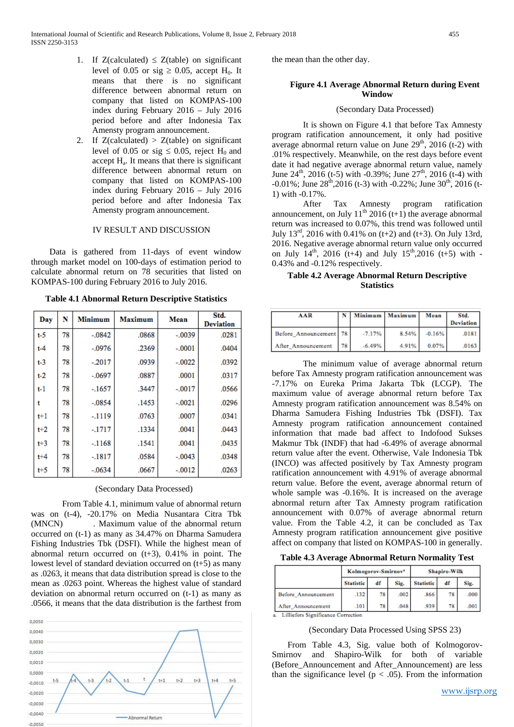- 1. If  $Z(\text{calculated}) \leq Z(\text{table})$  on significant level of 0.05 or sig  $\geq$  0.05, accept H<sub>0</sub>. It means that there is no significant difference between abnormal return on company that listed on KOMPAS-100 index during February 2016 – July 2016 period before and after Indonesia Tax Amensty program announcement.
- 2. If  $Z(\text{calculated}) > Z(\text{table})$  on significant level of 0.05 or sig  $\leq$  0.05, reject H<sub>0</sub> and accept Ha. It means that there is significant difference between abnormal return on company that listed on KOMPAS-100 index during February 2016 – July 2016 period before and after Indonesia Tax Amensty program announcement.

#### IV RESULT AND DISCUSSION

Data is gathered from 11-days of event window through market model on 100-days of estimation period to calculate abnormal return on 78 securities that listed on KOMPAS-100 during February 2016 to July 2016.

| Day     | N  | Minimum  | <b>Maximum</b> | Mean     | Std.<br><b>Deviation</b> |
|---------|----|----------|----------------|----------|--------------------------|
| $t-5$   | 78 | $-.0842$ | .0868          | $-.0039$ | .0281                    |
| $t-4$   | 78 | $-.0976$ | .2369          | $-.0001$ | .0404                    |
| $t-3$   | 78 | $-2017$  | .0939          | $-.0022$ | .0392                    |
| $t-2$   | 78 | $-.0697$ | .0887          | .0001    | .0317                    |
| $t-1$   | 78 | $-1657$  | .3447          | $-.0017$ | .0566                    |
| t       | 78 | $-.0854$ | .1453          | $-.0021$ | .0296                    |
| $t+1$   | 78 | $-1119$  | .0763          | .0007    | .0341                    |
| $t+2$   | 78 | $-.1717$ | .1334          | .0041    | .0443                    |
| $t + 3$ | 78 | $-.1168$ | .1541          | .0041    | .0435                    |
| $t + 4$ | 78 | $-.1817$ | .0584          | $-.0043$ | .0348                    |
| $t + 5$ | 78 | $-.0634$ | .0667          | $-.0012$ | .0263                    |

**Table 4.1 Abnormal Return Descriptive Statistics**

## (Secondary Data Processed)

From Table 4.1, minimum value of abnormal return was on (t-4), -20.17% on Media Nusantara Citra Tbk (MNCN) . Maximum value of the abnormal return occurred on (t-1) as many as 34.47% on Dharma Samudera Fishing Industries Tbk (DSFI). While the highest mean of abnormal return occurred on  $(t+3)$ , 0.41% in point. The lowest level of standard deviation occurred on (t+5) as many as .0263, it means that data distribution spread is close to the mean as .0263 point. Whereas the highest value of standard deviation on abnormal return occurred on (t-1) as many as .0566, it means that the data distribution is the farthest from



the mean than the other day.

#### **Figure 4.1 Average Abnormal Return during Event Window**

### (Secondary Data Processed)

It is shown on Figure 4.1 that before Tax Amnesty program ratification announcement, it only had positive average abnormal return value on June  $29<sup>th</sup>$ ,  $2016$  (t-2) with .01% respectively. Meanwhile, on the rest days before event date it had negative average abnormal return value, namely June  $24^{th}$ ,  $2016$  (t-5) with  $-0.39\%$ ; June  $27^{th}$ ,  $2016$  (t-4) with  $-0.01\%$ ; June  $28^{th}$ ,  $2016$  (t-3) with  $-0.22\%$ ; June  $30^{th}$ ,  $2016$  (t-1) with -0.17%.

After Tax Amnesty program ratification announcement, on July  $11<sup>th</sup> 2016 (t+1)$  the average abnormal return was increased to 0.07%, this trend was followed until July  $13^{rd}$ , 2016 with 0.41% on (t+2) and (t+3). On July 13rd, 2016. Negative average abnormal return value only occurred on July  $14^{th}$ , 2016 (t+4) and July 15<sup>th</sup>,2016 (t+5) with -0.43% and -0.12% respectively.

**Table 4.2 Average Abnormal Return Descriptive Statistics**

| AAR                    |      |          | N   Minimum   Maximum   Mean |          | Std.<br><b>Deviation</b> |
|------------------------|------|----------|------------------------------|----------|--------------------------|
| Before Announcement 78 |      | $-7.17%$ | 8.54%                        | $-0.16%$ | .0181                    |
| After Announcement     | - 78 | $-6.49%$ | 4.91%                        | 0.07%    | .0163                    |

The minimum value of average abnormal return before Tax Amnesty program ratification announcement was -7.17% on Eureka Prima Jakarta Tbk (LCGP). The maximum value of average abnormal return before Tax Amnesty program ratification announcement was 8.54% on Dharma Samudera Fishing Industries Tbk (DSFI). Tax Amnesty program ratification announcement contained information that made bad affect to Indofood Sukses Makmur Tbk (INDF) that had -6.49% of average abnormal return value after the event. Otherwise, Vale Indonesia Tbk (INCO) was affected positively by Tax Amnesty program ratification announcement with 4.91% of average abnormal return value. Before the event, average abnormal return of whole sample was -0.16%. It is increased on the average abnormal return after Tax Amnesty program ratification announcement with 0.07% of average abnormal return value. From the Table 4.2, it can be concluded as Tax Amnesty program ratification announcement give positive affect on company that listed on KOMPAS-100 in generally.

**Table 4.3 Average Abnormal Return Normality Test**

|                     | Kolmogorov-Smirnov <sup>*</sup> |    |      | <b>Shapiro-Wilk</b> |    |      |  |
|---------------------|---------------------------------|----|------|---------------------|----|------|--|
|                     | <b>Statistic</b>                | df | Sig. | <b>Statistic</b>    | df | Sig. |  |
| Before Announcement | .132                            | 78 | .002 | .866                | 78 | .000 |  |
| After Announcement  | .101                            | 78 | .048 | .939                | 78 | .001 |  |

a. Lilliefors Significance Correction

#### (Secondary Data Processed Using SPSS 23)

From Table 4.3, Sig. value both of Kolmogorov-Smirnov and Shapiro-Wilk for both of variable (Before\_Announcement and After\_Announcement) are less than the significance level ( $p < .05$ ). From the information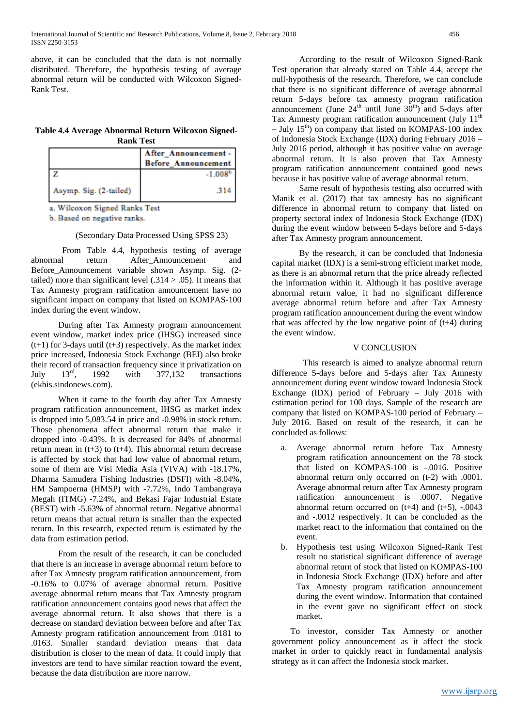above, it can be concluded that the data is not normally distributed. Therefore, the hypothesis testing of average abnormal return will be conducted with Wilcoxon Signed-Rank Test.

# **Table 4.4 Average Abnormal Return Wilcoxon Signed-Rank Test**

|                        | After Announcement-<br><b>Before Announcement</b> |
|------------------------|---------------------------------------------------|
|                        | $-1.008b$                                         |
| Asymp. Sig. (2-tailed) | -314                                              |

a. Wilcoxon Signed Ranks Test

b. Based on negative ranks.

# (Secondary Data Processed Using SPSS 23)

From Table 4.4, hypothesis testing of average<br>l return After Announcement and abnormal return After\_Announcement and Before\_Announcement variable shown Asymp. Sig. (2 tailed) more than significant level  $(.314 > .05)$ . It means that Tax Amnesty program ratification announcement have no significant impact on company that listed on KOMPAS-100 index during the event window.

During after Tax Amnesty program announcement event window, market index price (IHSG) increased since  $(t+1)$  for 3-days until  $(t+3)$  respectively. As the market index price increased, Indonesia Stock Exchange (BEI) also broke their record of transaction frequency since it privatization on<br>July  $13^{rd}$ , 1992 with 377,132 transactions July  $13^{\text{rd}}$ ,  $1992$  with  $377.132$  transactions (ekbis.sindonews.com).

When it came to the fourth day after Tax Amnesty program ratification announcement, IHSG as market index is dropped into 5,083.54 in price and -0.98% in stock return. Those phenomena affect abnormal return that make it dropped into -0.43%. It is decreased for 84% of abnormal return mean in  $(t+3)$  to  $(t+4)$ . This abnormal return decrease is affected by stock that had low value of abnormal return, some of them are Visi Media Asia (VIVA) with -18.17%, Dharma Samudera Fishing Industries (DSFI) with -8.04%, HM Sampoerna (HMSP) with -7.72%, Indo Tambangraya Megah (ITMG) -7.24%, and Bekasi Fajar Industrial Estate (BEST) with -5.63% of abnormal return. Negative abnormal return means that actual return is smaller than the expected return. In this research, expected return is estimated by the data from estimation period.

From the result of the research, it can be concluded that there is an increase in average abnormal return before to after Tax Amnesty program ratification announcement, from -0.16% to 0.07% of average abnormal return. Positive average abnormal return means that Tax Amnesty program ratification announcement contains good news that affect the average abnormal return. It also shows that there is a decrease on standard deviation between before and after Tax Amnesty program ratification announcement from .0181 to .0163. Smaller standard deviation means that data distribution is closer to the mean of data. It could imply that investors are tend to have similar reaction toward the event, because the data distribution are more narrow.

According to the result of Wilcoxon Signed-Rank Test operation that already stated on Table 4.4, accept the null-hypothesis of the research. Therefore, we can conclude that there is no significant difference of average abnormal return 5-days before tax amnesty program ratification announcement (June  $24<sup>th</sup>$  until June  $30<sup>th</sup>$ ) and 5-days after Tax Amnesty program ratification announcement (July  $11<sup>th</sup>$ – July  $15<sup>th</sup>$ ) on company that listed on KOMPAS-100 index of Indonesia Stock Exchange (IDX) during February 2016 – July 2016 period, although it has positive value on average abnormal return. It is also proven that Tax Amnesty program ratification announcement contained good news because it has positive value of average abnormal return.

Same result of hypothesis testing also occurred with Manik et al. (2017) that tax amnesty has no significant difference in abnormal return to company that listed on property sectoral index of Indonesia Stock Exchange (IDX) during the event window between 5-days before and 5-days after Tax Amnesty program announcement.

By the research, it can be concluded that Indonesia capital market (IDX) is a semi-strong efficient market mode, as there is an abnormal return that the price already reflected the information within it. Although it has positive average abnormal return value, it had no significant difference average abnormal return before and after Tax Amnesty program ratification announcement during the event window that was affected by the low negative point of (t+4) during the event window.

## V CONCLUSION

This research is aimed to analyze abnormal return difference 5-days before and 5-days after Tax Amnesty announcement during event window toward Indonesia Stock Exchange (IDX) period of February – July 2016 with estimation period for 100 days. Sample of the research are company that listed on KOMPAS-100 period of February – July 2016. Based on result of the research, it can be concluded as follows:

- a. Average abnormal return before Tax Amnesty program ratification announcement on the 78 stock that listed on KOMPAS-100 is -.0016. Positive abnormal return only occurred on (t-2) with .0001. Average abnormal return after Tax Amnesty program ratification announcement is .0007. Negative abnormal return occurred on  $(t+4)$  and  $(t+5)$ ,  $-.0043$ and -.0012 respectively. It can be concluded as the market react to the information that contained on the event.
- b. Hypothesis test using Wilcoxon Signed-Rank Test result no statistical significant difference of average abnormal return of stock that listed on KOMPAS-100 in Indonesia Stock Exchange (IDX) before and after Tax Amnesty program ratification announcement during the event window. Information that contained in the event gave no significant effect on stock market.

To investor, consider Tax Amnesty or another government policy announcement as it affect the stock market in order to quickly react in fundamental analysis strategy as it can affect the Indonesia stock market.